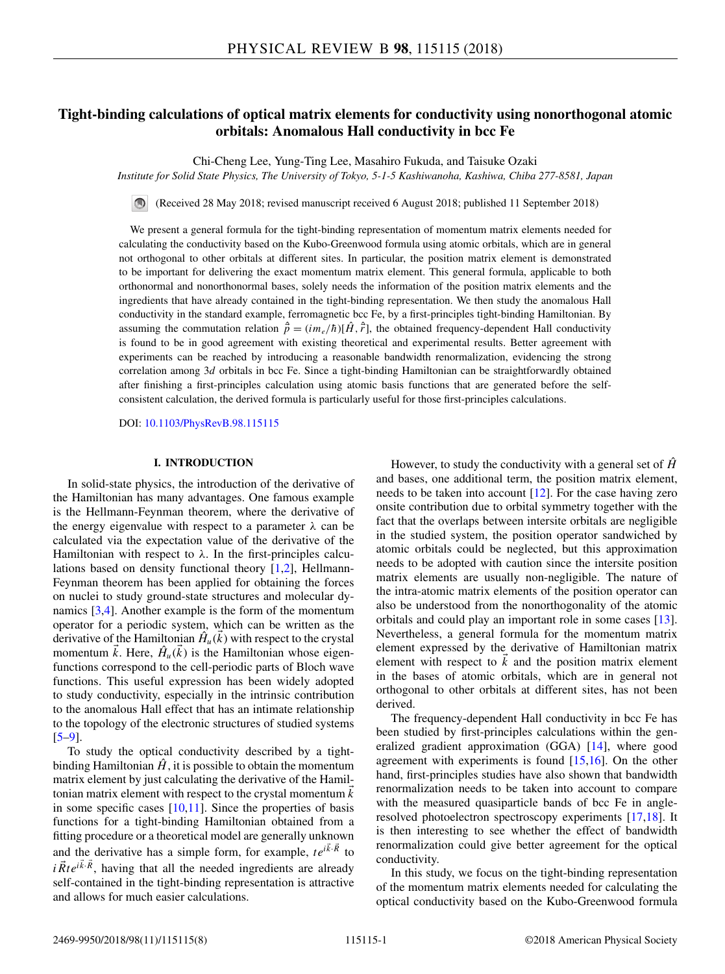# **Tight-binding calculations of optical matrix elements for conductivity using nonorthogonal atomic orbitals: Anomalous Hall conductivity in bcc Fe**

Chi-Cheng Lee, Yung-Ting Lee, Masahiro Fukuda, and Taisuke Ozaki

*Institute for Solid State Physics, The University of Tokyo, 5-1-5 Kashiwanoha, Kashiwa, Chiba 277-8581, Japan*

(Received 28 May 2018; revised manuscript received 6 August 2018; published 11 September 2018)

We present a general formula for the tight-binding representation of momentum matrix elements needed for calculating the conductivity based on the Kubo-Greenwood formula using atomic orbitals, which are in general not orthogonal to other orbitals at different sites. In particular, the position matrix element is demonstrated to be important for delivering the exact momentum matrix element. This general formula, applicable to both orthonormal and nonorthonormal bases, solely needs the information of the position matrix elements and the ingredients that have already contained in the tight-binding representation. We then study the anomalous Hall conductivity in the standard example, ferromagnetic bcc Fe, by a first-principles tight-binding Hamiltonian. By assuming the commutation relation  $\hat{p} = (im_e/\hbar)[\hat{H}, \hat{r}]$ , the obtained frequency-dependent Hall conductivity is found to be in good agreement with existing theoretical and experimental results. Better agreement with experiments can be reached by introducing a reasonable bandwidth renormalization, evidencing the strong correlation among 3*d* orbitals in bcc Fe. Since a tight-binding Hamiltonian can be straightforwardly obtained after finishing a first-principles calculation using atomic basis functions that are generated before the selfconsistent calculation, the derived formula is particularly useful for those first-principles calculations.

DOI: [10.1103/PhysRevB.98.115115](https://doi.org/10.1103/PhysRevB.98.115115)

# **I. INTRODUCTION**

In solid-state physics, the introduction of the derivative of the Hamiltonian has many advantages. One famous example is the Hellmann-Feynman theorem, where the derivative of the energy eigenvalue with respect to a parameter *λ* can be calculated via the expectation value of the derivative of the Hamiltonian with respect to *λ*. In the first-principles calculations based on density functional theory [\[1,2\]](#page-6-0), Hellmann-Feynman theorem has been applied for obtaining the forces on nuclei to study ground-state structures and molecular dynamics [\[3,4\]](#page-6-0). Another example is the form of the momentum operator for a periodic system, which can be written as the derivative of the Hamiltonian  $\hat{H}_u(\vec{k})$  with respect to the crystal momentum  $\vec{k}$ . Here,  $\hat{H}_u(\vec{k})$  is the Hamiltonian whose eigenfunctions correspond to the cell-periodic parts of Bloch wave functions. This useful expression has been widely adopted to study conductivity, especially in the intrinsic contribution to the anomalous Hall effect that has an intimate relationship to the topology of the electronic structures of studied systems [\[5–9\]](#page-6-0).

To study the optical conductivity described by a tightbinding Hamiltonian  $\hat{H}$ , it is possible to obtain the momentum matrix element by just calculating the derivative of the Hamiltonian matrix element with respect to the crystal momentum *k* in some specific cases [\[10,11\]](#page-6-0). Since the properties of basis functions for a tight-binding Hamiltonian obtained from a fitting procedure or a theoretical model are generally unknown and the derivative has a simple form, for example,  $te^{ik \cdot R}$  to  $i\vec{R}te^{ik\cdot R}$ , having that all the needed ingredients are already self-contained in the tight-binding representation is attractive and allows for much easier calculations.

However, to study the conductivity with a general set of  $\hat{H}$ and bases, one additional term, the position matrix element, needs to be taken into account  $[12]$ . For the case having zero onsite contribution due to orbital symmetry together with the fact that the overlaps between intersite orbitals are negligible in the studied system, the position operator sandwiched by atomic orbitals could be neglected, but this approximation needs to be adopted with caution since the intersite position matrix elements are usually non-negligible. The nature of the intra-atomic matrix elements of the position operator can also be understood from the nonorthogonality of the atomic orbitals and could play an important role in some cases [\[13\]](#page-6-0). Nevertheless, a general formula for the momentum matrix element expressed by the derivative of Hamiltonian matrix element with respect to  $k$  and the position matrix element in the bases of atomic orbitals, which are in general not orthogonal to other orbitals at different sites, has not been derived.

The frequency-dependent Hall conductivity in bcc Fe has been studied by first-principles calculations within the generalized gradient approximation (GGA) [\[14\]](#page-6-0), where good agreement with experiments is found [\[15,16\]](#page-6-0). On the other hand, first-principles studies have also shown that bandwidth renormalization needs to be taken into account to compare with the measured quasiparticle bands of bcc Fe in angleresolved photoelectron spectroscopy experiments [\[17,18\]](#page-6-0). It is then interesting to see whether the effect of bandwidth renormalization could give better agreement for the optical conductivity.

In this study, we focus on the tight-binding representation of the momentum matrix elements needed for calculating the optical conductivity based on the Kubo-Greenwood formula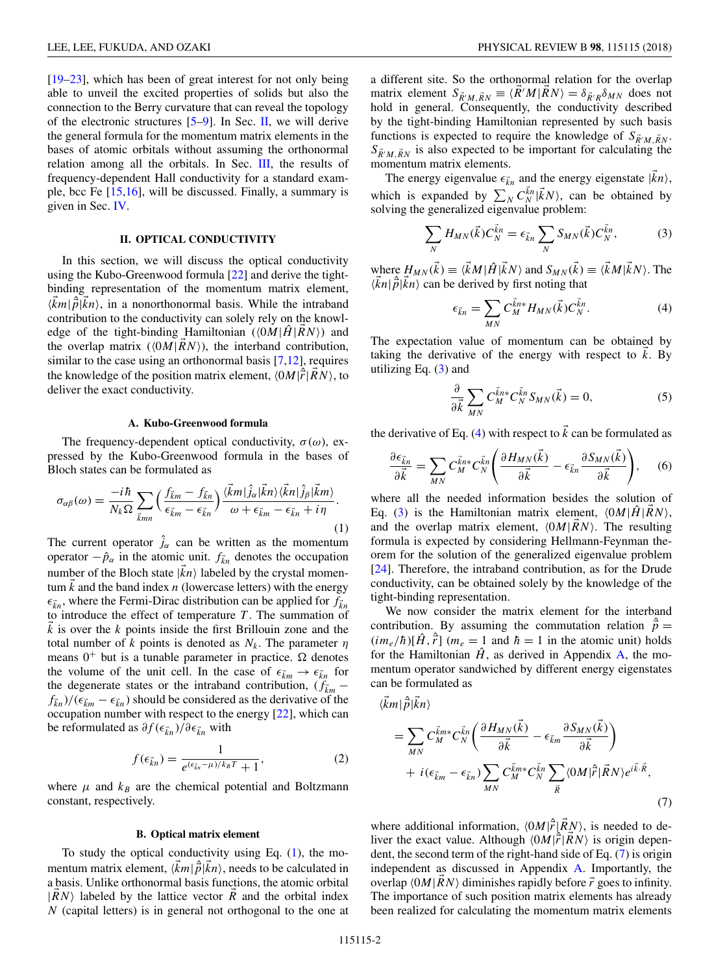<span id="page-1-0"></span>[\[19–23\]](#page-6-0), which has been of great interest for not only being able to unveil the excited properties of solids but also the connection to the Berry curvature that can reveal the topology of the electronic structures  $[5-9]$ . In Sec. II, we will derive the general formula for the momentum matrix elements in the bases of atomic orbitals without assuming the orthonormal relation among all the orbitals. In Sec. [III,](#page-3-0) the results of frequency-dependent Hall conductivity for a standard example, bcc Fe [\[15,16\]](#page-6-0), will be discussed. Finally, a summary is given in Sec. [IV.](#page-4-0)

## **II. OPTICAL CONDUCTIVITY**

In this section, we will discuss the optical conductivity using the Kubo-Greenwood formula [\[22\]](#page-6-0) and derive the tightbinding representation of the momentum matrix element,  $\langle \vec{k}m|\hat{p}|\vec{k}n\rangle$ , in a nonorthonormal basis. While the intraband contribution to the conductivity can solely rely on the knowledge of the tight-binding Hamiltonian  $(\langle 0M|\hat{H}|\vec{R}N\rangle)$  and the overlap matrix  $(\langle 0M|RN \rangle)$ , the interband contribution, similar to the case using an orthonormal basis [\[7,12\]](#page-6-0), requires the knowledge of the position matrix element,  $\langle 0M|\hat{r}|\vec{R}N\rangle$ , to deliver the exact conductivity.

#### **A. Kubo-Greenwood formula**

The frequency-dependent optical conductivity,  $\sigma(\omega)$ , expressed by the Kubo-Greenwood formula in the bases of Bloch states can be formulated as

$$
\sigma_{\alpha\beta}(\omega) = \frac{-i\hbar}{N_k \Omega} \sum_{\vec{k}mn} \left( \frac{f_{\vec{k}m} - f_{\vec{k}n}}{\epsilon_{\vec{k}m} - \epsilon_{\vec{k}n}} \right) \frac{\langle \vec{k}m|\hat{j}_{\alpha}|\vec{k}n\rangle \langle \vec{k}n|\hat{j}_{\beta}|\vec{k}m\rangle}{\omega + \epsilon_{\vec{k}m} - \epsilon_{\vec{k}n} + i\eta}.
$$
\n(1)

The current operator  $\hat{j}_{\alpha}$  can be written as the momentum operator  $-\hat{p}_{\alpha}$  in the atomic unit.  $f_{\vec{k}n}$  denotes the occupation number of the Bloch state  $|kn\rangle$  labeled by the crystal momen- $\tan k$  and the band index *n* (lowercase letters) with the energy  $\epsilon_{\vec{k}n}$ , where the Fermi-Dirac distribution can be applied for  $f_{\vec{k}n}$ to introduce the effect of temperature *T* . The summation of *k*- is over the *k* points inside the first Brillouin zone and the total number of *k* points is denoted as  $N_k$ . The parameter  $\eta$ means  $0^+$  but is a tunable parameter in practice.  $\Omega$  denotes the volume of the unit cell. In the case of  $\epsilon_{\vec{k}m} \to \epsilon_{\vec{k}n}$  for the degenerate states or the intraband contribution,  $(f_{\vec{k}m} - f_{\vec{k}m})$  $f_{kn}^{\dagger}$ //( $\epsilon_{km}^{\dagger} - \epsilon_{kn}^{\dagger}$ ) should be considered as the derivative of the occupation number with respect to the energy [\[22\]](#page-6-0), which can be reformulated as  $\partial f(\epsilon_{\vec{k}n})/\partial \epsilon_{\vec{k}n}$  with

$$
f(\epsilon_{\vec{k}n}) = \frac{1}{e^{(\epsilon_{\vec{k}n} - \mu)/k_B T} + 1},\tag{2}
$$

where  $\mu$  and  $k_B$  are the chemical potential and Boltzmann constant, respectively.

### **B. Optical matrix element**

To study the optical conductivity using Eq.  $(1)$ , the momentum matrix element,  $\langle \vec{k}m|\hat{p}|\vec{k}n\rangle$ , needs to be calculated in a basis. Unlike orthonormal basis functions, the atomic orbital  $|RN\rangle$  labeled by the lattice vector *R* and the orbital index *N* (capital letters) is in general not orthogonal to the one at a different site. So the orthonormal relation for the overlap matrix element  $S_{\vec{R}'M,\vec{R}N} \equiv \langle R'M|RN \rangle = \delta_{\vec{R}'R} \delta_{MN}$  does not hold in general. Consequently, the conductivity described by the tight-binding Hamiltonian represented by such basis functions is expected to require the knowledge of  $S_{\vec{R}'M, \vec{R}N}$ .  $S_{\vec{R}'M, \vec{R}N}$  is also expected to be important for calculating the momentum matrix elements.

The energy eigenvalue  $\epsilon_{\vec{k}n}$  and the energy eigenstate  $|kn\rangle$ , which is expanded by  $\sum_{N} C_{N}^{kn} |\vec{k}N\rangle$ , can be obtained by solving the generalized eigenvalue problem:

$$
\sum_{N} H_{MN}(\vec{k}) C_N^{\vec{k}n} = \epsilon_{\vec{k}n} \sum_{N} S_{MN}(\vec{k}) C_N^{\vec{k}n}, \tag{3}
$$

where  $H_{MN}(\vec{k}) \equiv \langle \vec{k}M|\hat{H}|\vec{k}N\rangle$  and  $S_{MN}(\vec{k}) \equiv \langle \vec{k}M|\vec{k}N\rangle$ . The  $\langle \vec{k}n | \hat{p} | \vec{k}n \rangle$  can be derived by first noting that

$$
\epsilon_{\vec{k}n} = \sum_{MN} C_M^{\vec{k}n*} H_{MN}(\vec{k}) C_N^{\vec{k}n}.
$$
 (4)

The expectation value of momentum can be obtained by taking the derivative of the energy with respect to  $k$ . By utilizing Eq.  $(3)$  and

$$
\frac{\partial}{\partial \vec{k}} \sum_{MN} C_M^{\vec{k}n*} C_N^{\vec{k}n} S_{MN}(\vec{k}) = 0, \tag{5}
$$

the derivative of Eq.  $(4)$  with respect to  $k$  can be formulated as

$$
\frac{\partial \epsilon_{\vec{k}n}}{\partial \vec{k}} = \sum_{MN} C_M^{\vec{k}n*} C_N^{\vec{k}n} \left( \frac{\partial H_{MN}(\vec{k})}{\partial \vec{k}} - \epsilon_{\vec{k}n} \frac{\partial S_{MN}(\vec{k})}{\partial \vec{k}} \right), \quad (6)
$$

where all the needed information besides the solution of Eq. (3) is the Hamiltonian matrix element,  $\langle 0M|\hat{H}|\vec{R}N\rangle$ , and the overlap matrix element,  $\langle 0M|RN\rangle$ . The resulting formula is expected by considering Hellmann-Feynman theorem for the solution of the generalized eigenvalue problem [\[24\]](#page-6-0). Therefore, the intraband contribution, as for the Drude conductivity, can be obtained solely by the knowledge of the tight-binding representation.

We now consider the matrix element for the interband contribution. By assuming the commutation relation  $\hat{p}$  =  $(im_e/\hbar)[\hat{H}, \hat{r}]$  ( $m_e = 1$  and  $\hbar = 1$  in the atomic unit) holds for the Hamiltonian  $\hat{H}$ , as derived in Appendix [A,](#page-5-0) the momentum operator sandwiched by different energy eigenstates can be formulated as

$$
\langle \vec{k}m|\hat{\vec{p}}|\vec{k}n\rangle
$$
\n
$$
= \sum_{MN} C_M^{\vec{k}m*} C_N^{\vec{k}n} \left( \frac{\partial H_{MN}(\vec{k})}{\partial \vec{k}} - \epsilon_{\vec{k}m} \frac{\partial S_{MN}(\vec{k})}{\partial \vec{k}} \right)
$$
\n
$$
+ i(\epsilon_{\vec{k}m} - \epsilon_{\vec{k}n}) \sum_{MN} C_M^{\vec{k}m*} C_N^{\vec{k}n} \sum_{\vec{R}} \langle 0M|\hat{\vec{r}}|\vec{R}N \rangle e^{i\vec{k}\cdot\vec{R}},
$$
\n(7)

where additional information,  $\langle 0M|\hat{r}|\vec{R}N\rangle$ , is needed to deliver the exact value. Although  $\langle 0M|\vec{r}|\vec{R}N\rangle$  is origin dependent, the second term of the right-hand side of Eq. (7) is origin independent as discussed in Appendix [A.](#page-5-0) Importantly, the overlap  $\langle 0M | RN \rangle$  diminishes rapidly before  $\vec{r}$  goes to infinity. The importance of such position matrix elements has already been realized for calculating the momentum matrix elements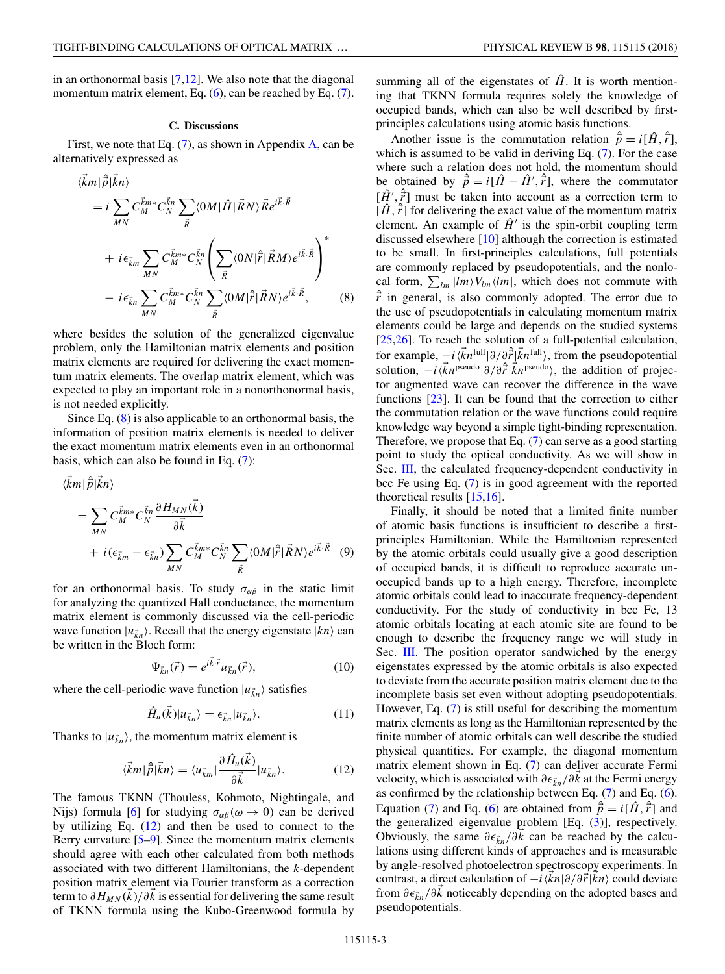#### **C. Discussions**

First, we note that Eq.  $(7)$ , as shown in Appendix [A,](#page-5-0) can be alternatively expressed as

$$
\langle \vec{k}m|\hat{\vec{p}}|\vec{k}n\rangle
$$
\n
$$
= i \sum_{MN} C_M^{\vec{k}m*} C_N^{\vec{k}n} \sum_{\vec{R}} \langle 0M|\hat{H}|\vec{R}N\rangle \vec{R} e^{i\vec{k}\cdot\vec{R}}
$$
\n
$$
+ i\epsilon_{\vec{k}m} \sum_{MN} C_M^{\vec{k}m*} C_N^{\vec{k}n} \left( \sum_{\vec{R}} \langle 0N|\hat{\vec{r}}|\vec{R}M\rangle e^{i\vec{k}\cdot\vec{R}} \right)^*
$$
\n
$$
- i\epsilon_{\vec{k}n} \sum_{MN} C_M^{\vec{k}m*} C_N^{\vec{k}n} \sum_{\vec{R}} \langle 0M|\hat{\vec{r}}|\vec{R}N\rangle e^{i\vec{k}\cdot\vec{R}}, \qquad (8)
$$

where besides the solution of the generalized eigenvalue problem, only the Hamiltonian matrix elements and position matrix elements are required for delivering the exact momentum matrix elements. The overlap matrix element, which was expected to play an important role in a nonorthonormal basis, is not needed explicitly.

Since Eq. (8) is also applicable to an orthonormal basis, the information of position matrix elements is needed to deliver the exact momentum matrix elements even in an orthonormal basis, which can also be found in Eq. [\(7\)](#page-1-0):

$$
\langle \vec{k}m|\hat{\vec{p}}|\vec{k}n\rangle
$$
\n
$$
= \sum_{MN} C_M^{\vec{k}m*} C_N^{\vec{k}n} \frac{\partial H_{MN}(\vec{k})}{\partial \vec{k}}
$$
\n
$$
+ i(\epsilon_{\vec{k}m} - \epsilon_{\vec{k}n}) \sum_{MN} C_M^{\vec{k}m*} C_N^{\vec{k}n} \sum_{\vec{R}} \langle 0M|\hat{\vec{r}}|\vec{R}N\rangle e^{i\vec{k}\cdot\vec{R}} \quad (9)
$$

for an orthonormal basis. To study  $\sigma_{\alpha\beta}$  in the static limit for analyzing the quantized Hall conductance, the momentum matrix element is commonly discussed via the cell-periodic wave function  $|u_{\vec{k}n}\rangle$ . Recall that the energy eigenstate  $|kn\rangle$  can be written in the Bloch form:

$$
\Psi_{\vec{k}n}(\vec{r}) = e^{i\vec{k}\cdot\vec{r}} u_{\vec{k}n}(\vec{r}),\tag{10}
$$

where the cell-periodic wave function  $|u_{\vec{k}n}\rangle$  satisfies

$$
\hat{H}_u(\vec{k})|u_{\vec{k}n}\rangle = \epsilon_{\vec{k}n}|u_{\vec{k}n}\rangle. \tag{11}
$$

Thanks to  $|u_{\vec{k}n}\rangle$ , the momentum matrix element is

$$
\langle \vec{k}m|\hat{\vec{p}}|\vec{k}n\rangle = \langle u_{\vec{k}m}|\frac{\partial \hat{H}_u(\vec{k})}{\partial \vec{k}}|u_{\vec{k}n}\rangle.
$$
 (12)

The famous TKNN (Thouless, Kohmoto, Nightingale, and Nijs) formula [\[6\]](#page-6-0) for studying  $\sigma_{\alpha\beta}(\omega \to 0)$  can be derived by utilizing Eq.  $(12)$  and then be used to connect to the Berry curvature [\[5–9\]](#page-6-0). Since the momentum matrix elements should agree with each other calculated from both methods associated with two different Hamiltonians, the *k*-dependent position matrix element via Fourier transform as a correction term to  $\partial H_{MN}(k)/\partial k$  is essential for delivering the same result of TKNN formula using the Kubo-Greenwood formula by

summing all of the eigenstates of  $\hat{H}$ . It is worth mentioning that TKNN formula requires solely the knowledge of occupied bands, which can also be well described by firstprinciples calculations using atomic basis functions.

Another issue is the commutation relation  $\hat{\vec{p}} = i[\hat{H}, \hat{r}]$ , which is assumed to be valid in deriving Eq. [\(7\)](#page-1-0). For the case where such a relation does not hold, the momentum should be obtained by  $\hat{p} = i[\hat{H} - \hat{H}', \hat{r}]$ , where the commutator  $[\hat{H}', \hat{r}]$  must be taken into account as a correction term to  $[\hat{H}, \hat{\vec{r}}]$  for delivering the exact value of the momentum matrix element. An example of  $\hat{H}$ <sup> $\prime$ </sup> is the spin-orbit coupling term discussed elsewhere [\[10\]](#page-6-0) although the correction is estimated to be small. In first-principles calculations, full potentials are commonly replaced by pseudopotentials, and the nonlocal form,  $\sum_{lm} |lm\rangle V_{lm} \langle lm|$ , which does not commute with  $\hat{r}$  in general, is also commonly adopted. The error due to the use of pseudopotentials in calculating momentum matrix elements could be large and depends on the studied systems [\[25,26\]](#page-6-0). To reach the solution of a full-potential calculation, for example,  $-i \langle \vec{k}n^{\text{full}} | \partial/\partial \hat{r} \cdot \vec{k} \cdot n^{\text{full}} \rangle$ , from the pseudopotential solution,  $-i\langle \vec{k}n^{\text{pseudo}}|\partial/\partial \hat{r}|\vec{k}n^{\text{pseudo}}\rangle$ , the addition of projector augmented wave can recover the difference in the wave functions  $[23]$ . It can be found that the correction to either the commutation relation or the wave functions could require knowledge way beyond a simple tight-binding representation. Therefore, we propose that Eq. [\(7\)](#page-1-0) can serve as a good starting point to study the optical conductivity. As we will show in Sec. [III,](#page-3-0) the calculated frequency-dependent conductivity in bcc Fe using Eq. [\(7\)](#page-1-0) is in good agreement with the reported theoretical results  $[15, 16]$ .

Finally, it should be noted that a limited finite number of atomic basis functions is insufficient to describe a firstprinciples Hamiltonian. While the Hamiltonian represented by the atomic orbitals could usually give a good description of occupied bands, it is difficult to reproduce accurate unoccupied bands up to a high energy. Therefore, incomplete atomic orbitals could lead to inaccurate frequency-dependent conductivity. For the study of conductivity in bcc Fe, 13 atomic orbitals locating at each atomic site are found to be enough to describe the frequency range we will study in Sec. [III.](#page-3-0) The position operator sandwiched by the energy eigenstates expressed by the atomic orbitals is also expected to deviate from the accurate position matrix element due to the incomplete basis set even without adopting pseudopotentials. However, Eq. [\(7\)](#page-1-0) is still useful for describing the momentum matrix elements as long as the Hamiltonian represented by the finite number of atomic orbitals can well describe the studied physical quantities. For example, the diagonal momentum matrix element shown in Eq. [\(7\)](#page-1-0) can deliver accurate Fermi velocity, which is associated with  $\frac{\partial \epsilon_{k,n}}{\partial k}$  at the Fermi energy as confirmed by the relationship between Eq. [\(7\)](#page-1-0) and Eq. [\(6\)](#page-1-0). Equation [\(7\)](#page-1-0) and Eq. [\(6\)](#page-1-0) are obtained from  $\hat{p} = i[\hat{H}, \hat{r}]$  and the generalized eigenvalue problem [Eq. [\(3\)](#page-1-0)], respectively. Obviously, the same  $\partial \epsilon_{\vec{k}n}/\partial k$  can be reached by the calculations using different kinds of approaches and is measurable by angle-resolved photoelectron spectroscopy experiments. In contrast, a direct calculation of  $-i$ *(kn*|∂/∂*r*<sup>2</sup>|*kn*) could deviate from  $\partial \epsilon_{\vec{k}n}/\partial \vec{k}$  noticeably depending on the adopted bases and pseudopotentials.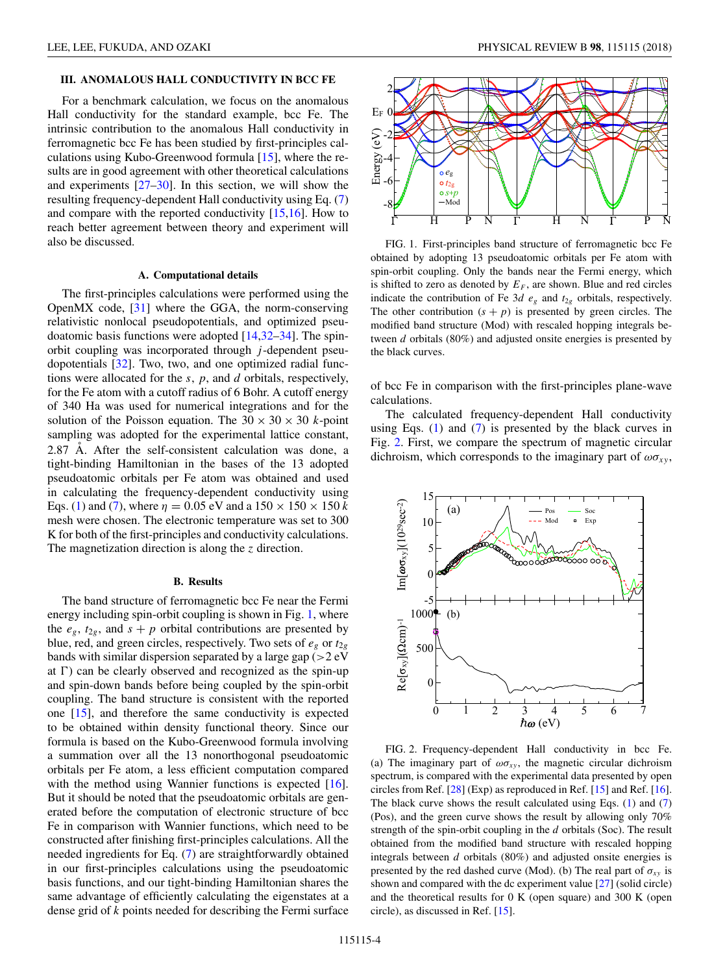# <span id="page-3-0"></span>**III. ANOMALOUS HALL CONDUCTIVITY IN BCC FE**

For a benchmark calculation, we focus on the anomalous Hall conductivity for the standard example, bcc Fe. The intrinsic contribution to the anomalous Hall conductivity in ferromagnetic bcc Fe has been studied by first-principles calculations using Kubo-Greenwood formula [\[15\]](#page-6-0), where the results are in good agreement with other theoretical calculations and experiments [\[27–30\]](#page-7-0). In this section, we will show the resulting frequency-dependent Hall conductivity using Eq. [\(7\)](#page-1-0) and compare with the reported conductivity [\[15,16\]](#page-6-0). How to reach better agreement between theory and experiment will also be discussed.

## **A. Computational details**

The first-principles calculations were performed using the OpenMX code, [\[31\]](#page-7-0) where the GGA, the norm-conserving relativistic nonlocal pseudopotentials, and optimized pseudoatomic basis functions were adopted [\[14](#page-6-0)[,32–34\]](#page-7-0). The spinorbit coupling was incorporated through *j* -dependent pseudopotentials [\[32\]](#page-7-0). Two, two, and one optimized radial functions were allocated for the *s*, *p*, and *d* orbitals, respectively, for the Fe atom with a cutoff radius of 6 Bohr. A cutoff energy of 340 Ha was used for numerical integrations and for the solution of the Poisson equation. The  $30 \times 30 \times 30$  *k*-point sampling was adopted for the experimental lattice constant,  $2.87$  Å. After the self-consistent calculation was done, a tight-binding Hamiltonian in the bases of the 13 adopted pseudoatomic orbitals per Fe atom was obtained and used in calculating the frequency-dependent conductivity using Eqs. [\(1\)](#page-1-0) and [\(7\)](#page-1-0), where  $\eta = 0.05$  eV and a  $150 \times 150 \times 150$  *k* mesh were chosen. The electronic temperature was set to 300 K for both of the first-principles and conductivity calculations. The magnetization direction is along the *z* direction.

# **B. Results**

The band structure of ferromagnetic bcc Fe near the Fermi energy including spin-orbit coupling is shown in Fig. 1, where the  $e_g$ ,  $t_{2g}$ , and  $s + p$  orbital contributions are presented by blue, red, and green circles, respectively. Two sets of  $e_g$  or  $t_{2g}$ bands with similar dispersion separated by a large gap (*>*2 eV at  $\Gamma$ ) can be clearly observed and recognized as the spin-up and spin-down bands before being coupled by the spin-orbit coupling. The band structure is consistent with the reported one [\[15\]](#page-6-0), and therefore the same conductivity is expected to be obtained within density functional theory. Since our formula is based on the Kubo-Greenwood formula involving a summation over all the 13 nonorthogonal pseudoatomic orbitals per Fe atom, a less efficient computation compared with the method using Wannier functions is expected [\[16\]](#page-6-0). But it should be noted that the pseudoatomic orbitals are generated before the computation of electronic structure of bcc Fe in comparison with Wannier functions, which need to be constructed after finishing first-principles calculations. All the needed ingredients for Eq. [\(7\)](#page-1-0) are straightforwardly obtained in our first-principles calculations using the pseudoatomic basis functions, and our tight-binding Hamiltonian shares the same advantage of efficiently calculating the eigenstates at a dense grid of *k* points needed for describing the Fermi surface



FIG. 1. First-principles band structure of ferromagnetic bcc Fe obtained by adopting 13 pseudoatomic orbitals per Fe atom with spin-orbit coupling. Only the bands near the Fermi energy, which is shifted to zero as denoted by  $E_F$ , are shown. Blue and red circles indicate the contribution of Fe 3*d*  $e_g$  and  $t_{2g}$  orbitals, respectively. The other contribution  $(s + p)$  is presented by green circles. The modified band structure (Mod) with rescaled hopping integrals between *d* orbitals (80%) and adjusted onsite energies is presented by the black curves.

of bcc Fe in comparison with the first-principles plane-wave calculations.

The calculated frequency-dependent Hall conductivity using Eqs.  $(1)$  and  $(7)$  is presented by the black curves in Fig. 2. First, we compare the spectrum of magnetic circular dichroism, which corresponds to the imaginary part of  $\omega \sigma_{xy}$ ,



FIG. 2. Frequency-dependent Hall conductivity in bcc Fe. (a) The imaginary part of  $\omega \sigma_{xy}$ , the magnetic circular dichroism spectrum, is compared with the experimental data presented by open circles from Ref. [\[28\]](#page-7-0) (Exp) as reproduced in Ref. [\[15\]](#page-6-0) and Ref. [\[16\]](#page-6-0). The black curve shows the result calculated using Eqs. [\(1\)](#page-1-0) and [\(7\)](#page-1-0) (Pos), and the green curve shows the result by allowing only 70% strength of the spin-orbit coupling in the *d* orbitals (Soc). The result obtained from the modified band structure with rescaled hopping integrals between *d* orbitals (80%) and adjusted onsite energies is presented by the red dashed curve (Mod). (b) The real part of  $\sigma_{xy}$  is shown and compared with the dc experiment value [\[27\]](#page-7-0) (solid circle) and the theoretical results for 0 K (open square) and 300 K (open circle), as discussed in Ref. [\[15\]](#page-6-0).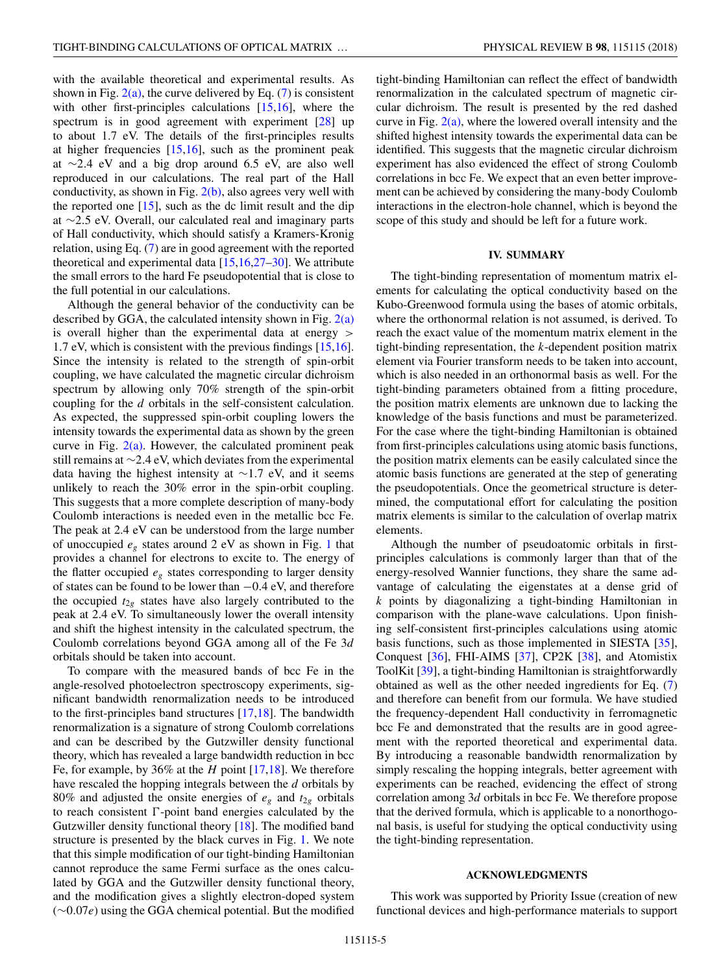<span id="page-4-0"></span>with the available theoretical and experimental results. As shown in Fig.  $2(a)$ , the curve delivered by Eq. [\(7\)](#page-1-0) is consistent with other first-principles calculations [\[15,16\]](#page-6-0), where the spectrum is in good agreement with experiment [\[28\]](#page-7-0) up to about 1.7 eV. The details of the first-principles results at higher frequencies [\[15,16\]](#page-6-0), such as the prominent peak at ∼2*.*4 eV and a big drop around 6.5 eV, are also well reproduced in our calculations. The real part of the Hall conductivity, as shown in Fig.  $2(b)$ , also agrees very well with the reported one [\[15\]](#page-6-0), such as the dc limit result and the dip at ∼2*.*5 eV. Overall, our calculated real and imaginary parts of Hall conductivity, which should satisfy a Kramers-Kronig relation, using Eq. [\(7\)](#page-1-0) are in good agreement with the reported theoretical and experimental data  $[15,16,27-30]$  $[15,16,27-30]$ . We attribute the small errors to the hard Fe pseudopotential that is close to the full potential in our calculations.

Although the general behavior of the conductivity can be described by GGA, the calculated intensity shown in Fig.  $2(a)$ is overall higher than the experimental data at energy *>* 1*.*7 eV, which is consistent with the previous findings [\[15,16\]](#page-6-0). Since the intensity is related to the strength of spin-orbit coupling, we have calculated the magnetic circular dichroism spectrum by allowing only 70% strength of the spin-orbit coupling for the *d* orbitals in the self-consistent calculation. As expected, the suppressed spin-orbit coupling lowers the intensity towards the experimental data as shown by the green curve in Fig.  $2(a)$ . However, the calculated prominent peak still remains at ∼2*.*4 eV, which deviates from the experimental data having the highest intensity at ∼1*.*7 eV, and it seems unlikely to reach the 30% error in the spin-orbit coupling. This suggests that a more complete description of many-body Coulomb interactions is needed even in the metallic bcc Fe. The peak at 2.4 eV can be understood from the large number of unoccupied  $e_{\varrho}$  states around 2 eV as shown in Fig. [1](#page-3-0) that provides a channel for electrons to excite to. The energy of the flatter occupied  $e_g$  states corresponding to larger density of states can be found to be lower than −0*.*4 eV, and therefore the occupied  $t_{2g}$  states have also largely contributed to the peak at 2.4 eV. To simultaneously lower the overall intensity and shift the highest intensity in the calculated spectrum, the Coulomb correlations beyond GGA among all of the Fe 3*d* orbitals should be taken into account.

To compare with the measured bands of bcc Fe in the angle-resolved photoelectron spectroscopy experiments, significant bandwidth renormalization needs to be introduced to the first-principles band structures [\[17,18\]](#page-6-0). The bandwidth renormalization is a signature of strong Coulomb correlations and can be described by the Gutzwiller density functional theory, which has revealed a large bandwidth reduction in bcc Fe, for example, by 36% at the *H* point [\[17,18\]](#page-6-0). We therefore have rescaled the hopping integrals between the *d* orbitals by 80% and adjusted the onsite energies of  $e_g$  and  $t_{2g}$  orbitals to reach consistent  $\Gamma$ -point band energies calculated by the Gutzwiller density functional theory [\[18\]](#page-6-0). The modified band structure is presented by the black curves in Fig. [1.](#page-3-0) We note that this simple modification of our tight-binding Hamiltonian cannot reproduce the same Fermi surface as the ones calculated by GGA and the Gutzwiller density functional theory, and the modification gives a slightly electron-doped system (∼0*.*07*e*) using the GGA chemical potential. But the modified

tight-binding Hamiltonian can reflect the effect of bandwidth renormalization in the calculated spectrum of magnetic circular dichroism. The result is presented by the red dashed curve in Fig.  $2(a)$ , where the lowered overall intensity and the shifted highest intensity towards the experimental data can be identified. This suggests that the magnetic circular dichroism experiment has also evidenced the effect of strong Coulomb correlations in bcc Fe. We expect that an even better improvement can be achieved by considering the many-body Coulomb interactions in the electron-hole channel, which is beyond the scope of this study and should be left for a future work.

# **IV. SUMMARY**

The tight-binding representation of momentum matrix elements for calculating the optical conductivity based on the Kubo-Greenwood formula using the bases of atomic orbitals, where the orthonormal relation is not assumed, is derived. To reach the exact value of the momentum matrix element in the tight-binding representation, the *k*-dependent position matrix element via Fourier transform needs to be taken into account, which is also needed in an orthonormal basis as well. For the tight-binding parameters obtained from a fitting procedure, the position matrix elements are unknown due to lacking the knowledge of the basis functions and must be parameterized. For the case where the tight-binding Hamiltonian is obtained from first-principles calculations using atomic basis functions, the position matrix elements can be easily calculated since the atomic basis functions are generated at the step of generating the pseudopotentials. Once the geometrical structure is determined, the computational effort for calculating the position matrix elements is similar to the calculation of overlap matrix elements.

Although the number of pseudoatomic orbitals in firstprinciples calculations is commonly larger than that of the energy-resolved Wannier functions, they share the same advantage of calculating the eigenstates at a dense grid of *k* points by diagonalizing a tight-binding Hamiltonian in comparison with the plane-wave calculations. Upon finishing self-consistent first-principles calculations using atomic basis functions, such as those implemented in SIESTA [\[35\]](#page-7-0), Conquest [\[36\]](#page-7-0), FHI-AIMS [\[37\]](#page-7-0), CP2K [\[38\]](#page-7-0), and Atomistix ToolKit [\[39\]](#page-7-0), a tight-binding Hamiltonian is straightforwardly obtained as well as the other needed ingredients for Eq. [\(7\)](#page-1-0) and therefore can benefit from our formula. We have studied the frequency-dependent Hall conductivity in ferromagnetic bcc Fe and demonstrated that the results are in good agreement with the reported theoretical and experimental data. By introducing a reasonable bandwidth renormalization by simply rescaling the hopping integrals, better agreement with experiments can be reached, evidencing the effect of strong correlation among 3*d* orbitals in bcc Fe. We therefore propose that the derived formula, which is applicable to a nonorthogonal basis, is useful for studying the optical conductivity using the tight-binding representation.

#### **ACKNOWLEDGMENTS**

This work was supported by Priority Issue (creation of new functional devices and high-performance materials to support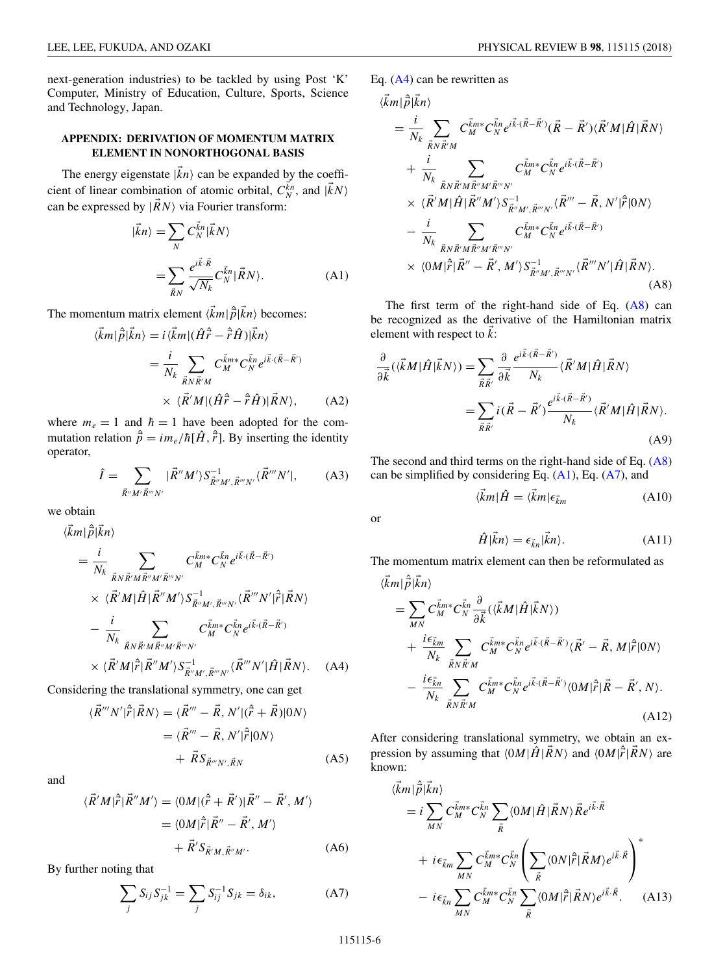<span id="page-5-0"></span>next-generation industries) to be tackled by using Post 'K' Computer, Ministry of Education, Culture, Sports, Science and Technology, Japan.

# **APPENDIX: DERIVATION OF MOMENTUM MATRIX ELEMENT IN NONORTHOGONAL BASIS**

The energy eigenstate  $|kn\rangle$  can be expanded by the coefficient of linear combination of atomic orbital,  $C_N^{kn}$ , and  $|\vec{k}N\rangle$ can be expressed by  $|RN\rangle$  via Fourier transform:

$$
\begin{aligned}\n|\vec{k}n\rangle &= \sum_{N} C_{N}^{\bar{k}n} |\vec{k}N\rangle \\
&= \sum_{\vec{R}N} \frac{e^{i\vec{k}\cdot\vec{R}}}{\sqrt{N_{\bar{k}}}} C_{N}^{\bar{k}n} |\vec{R}N\rangle. \n\end{aligned} \tag{A1}
$$

The momentum matrix element  $\langle \vec{k}m | \hat{\vec{p}} | \vec{k}n \rangle$  becomes:

$$
\langle \vec{k}m|\hat{\vec{p}}|\vec{k}n\rangle = i\langle \vec{k}m|(\hat{H}\hat{\vec{r}} - \hat{\vec{r}}\hat{H})|\vec{k}n\rangle
$$
  

$$
= \frac{i}{N_k} \sum_{\vec{R}N\vec{R}'M} C_M^{\vec{k}m*} C_N^{\vec{k}n} e^{i\vec{k}\cdot(\vec{R}-\vec{R}')}
$$

$$
\times \langle \vec{R}'M|(\hat{H}\hat{\vec{r}} - \hat{\vec{r}}\hat{H})|\vec{R}N\rangle, \qquad (A2)
$$

where  $m_e = 1$  and  $\hbar = 1$  have been adopted for the commutation relation  $\hat{\vec{p}} = \frac{im_e}{\hbar} [\hat{H}, \hat{\vec{r}}]$ . By inserting the identity operator,

$$
\hat{I} = \sum_{\vec{R}''M'\vec{R}'''N'} |\vec{R}''M'\rangle S_{\vec{R}''M',\vec{R}'''N'}^{-1} \langle \vec{R}'''N'|,
$$
 (A3)

we obtain

$$
\langle \vec{k}m|\hat{\vec{p}}|\vec{k}n\rangle
$$
\n
$$
= \frac{i}{N_k} \sum_{\vec{R}N\vec{R}'M\vec{R}''M'\vec{R}''''N'} C_M^{\vec{k}m*} C_N^{\vec{k}n} e^{i\vec{k}\cdot(\vec{R}-\vec{R}')} \times \langle \vec{R}'M|\hat{H}|\vec{R}''M'\rangle S_{\vec{R}''M',\vec{R}''N'}^{-1} \langle \vec{R}'''N'|\hat{\vec{r}}|\vec{R}N\rangle
$$
\n
$$
- \frac{i}{N_k} \sum_{\vec{R}N\vec{R}'M\vec{R}''M'\vec{R}''''N'} C_M^{\vec{k}m*} C_N^{\vec{k}n} e^{i\vec{k}\cdot(\vec{R}-\vec{R}')} \times \langle \vec{R}'M|\hat{\vec{r}}|\vec{R}''M'\rangle S_{\vec{R}''M',\vec{R}''N'}^{-1} \langle \vec{R}'''N'|\hat{H}|\vec{R}N\rangle. \quad (A4)
$$

Considering the translational symmetry, one can get

$$
\langle \vec{R}^{\prime\prime\prime} N^{\prime} | \hat{r} | \vec{R} N \rangle = \langle \vec{R}^{\prime\prime\prime} - \vec{R}, N^{\prime} | (\hat{r} + \vec{R}) | 0 N \rangle
$$
  

$$
= \langle \vec{R}^{\prime\prime\prime} - \vec{R}, N^{\prime} | \hat{r} | 0 N \rangle
$$
  

$$
+ \vec{R} S_{\vec{R}^{\prime\prime\prime} N^{\prime}, \vec{R} N} \tag{A5}
$$

and

$$
\vec{R}'M|\hat{r}|\vec{R}''M'\rangle = \langle 0M|(\hat{r}+\vec{R}')|\vec{R}''-\vec{R}',M'\rangle
$$

$$
= \langle 0M|\hat{r}|\vec{R}''-\vec{R}',M'\rangle
$$

$$
+ \vec{R}'S_{\vec{R}'M,\vec{R}''M'}.
$$
(A6)

By further noting that

*R*-

$$
\sum_{j} S_{ij} S_{jk}^{-1} = \sum_{j} S_{ij}^{-1} S_{jk} = \delta_{ik},
$$
 (A7)

Eq. (A4) can be rewritten as

$$
\langle \vec{k}m|\hat{\vec{p}}|\vec{k}n\rangle
$$
\n
$$
= \frac{i}{N_k} \sum_{\vec{R}\in\vec{R}^N} C_M^{\vec{k}m*} C_N^{\vec{k}n} e^{i\vec{k}\cdot(\vec{R}-\vec{R}')} (\vec{R}-\vec{R}')\langle \vec{R}'M|\hat{H}|\vec{R}N\rangle
$$
\n
$$
+ \frac{i}{N_k} \sum_{\vec{R}\in\vec{R}^N M' \vec{R}^N M' \vec{R}^N N'} C_M^{\vec{k}m*} C_N^{\vec{k}n} e^{i\vec{k}\cdot(\vec{R}-\vec{R}')} \times \langle \vec{R}'M|\hat{H}|\vec{R}^N M'\rangle S_{\vec{R}^N M', \vec{R}^N N'}^{-1} \langle \vec{R}^N - \vec{R}, N'|\hat{\vec{r}}|0N\rangle
$$
\n
$$
- \frac{i}{N_k} \sum_{\vec{R}\in\vec{R}^N M' \vec{R}^N M' \vec{R}^N N'} C_M^{\vec{k}m*} C_N^{\vec{k}n} e^{i\vec{k}\cdot(\vec{R}-\vec{R}')} \times \langle 0M|\hat{\vec{r}}|\vec{R}^N - \vec{R}', M'\rangle S_{\vec{R}^N M', \vec{R}^N N'}^{-1} \langle \vec{R}^N N'|\hat{H}|\vec{R}N\rangle.
$$
\n(A8)

The first term of the right-hand side of Eq. (A8) can be recognized as the derivative of the Hamiltonian matrix element with respect to *k*:

$$
\frac{\partial}{\partial \vec{k}} (\langle \vec{k} M | \hat{H} | \vec{k} N \rangle) = \sum_{\vec{R} \cdot \vec{R'}} \frac{\partial}{\partial \vec{k}} \frac{e^{i \vec{k} \cdot (\vec{R} - \vec{R'})}}{N_k} \langle \vec{R'} M | \hat{H} | \vec{R} N \rangle
$$

$$
= \sum_{\vec{R} \cdot \vec{R'}} i (\vec{R} - \vec{R'}) \frac{e^{i \vec{k} \cdot (\vec{R} - \vec{R'})}}{N_k} \langle \vec{R'} M | \hat{H} | \vec{R} N \rangle.
$$
(A9)

The second and third terms on the right-hand side of Eq. (A8) can be simplified by considering Eq.  $(A1)$ , Eq.  $(A7)$ , and

$$
\langle \vec{k}m|\hat{H} = \langle \vec{k}m|\epsilon_{\vec{k}m} \tag{A10}
$$

or

$$
\hat{H}|\vec{k}n\rangle = \epsilon_{\vec{k}n}|\vec{k}n\rangle.
$$
 (A11)

The momentum matrix element can then be reformulated as

$$
\langle \vec{k}m|\hat{\vec{p}}|\vec{k}n\rangle
$$
\n
$$
= \sum_{MN} C_M^{\vec{k}m*} C_N^{\vec{k}n} \frac{\partial}{\partial \vec{k}} (\langle \vec{k}M|\hat{H}|\vec{k}N\rangle)
$$
\n
$$
+ \frac{i\epsilon_{\vec{k}m}}{N_k} \sum_{\vec{R}N\vec{R}'M} C_M^{\vec{k}m*} C_N^{\vec{k}n} e^{i\vec{k}\cdot(\vec{R}-\vec{R}')} \langle \vec{R}' - \vec{R}, M|\hat{\vec{r}}|0N\rangle
$$
\n
$$
- \frac{i\epsilon_{\vec{k}n}}{N_k} \sum_{\vec{R}N\vec{R}'M} C_M^{\vec{k}m*} C_N^{\vec{k}n} e^{i\vec{k}\cdot(\vec{R}-\vec{R}')} \langle 0M|\hat{\vec{r}}|\vec{R}-\vec{R}', N\rangle.
$$
\n(A12)

After considering translational symmetry, we obtain an expression by assuming that  $\langle 0M|\hat{H}|\vec{R}N\rangle$  and  $\langle 0M|\hat{r}|\vec{R}N\rangle$  are known:

$$
\langle \vec{k}m|\hat{\vec{p}}|\vec{k}n\rangle
$$
\n
$$
= i \sum_{MN} C_M^{\vec{k}m*} C_N^{\vec{k}n} \sum_{\vec{R}} \langle 0M|\hat{H}|\vec{R}N\rangle \vec{R} e^{i\vec{k}\cdot\vec{R}}
$$
\n
$$
+ i\epsilon_{\vec{k}m} \sum_{MN} C_M^{\vec{k}m*} C_N^{\vec{k}n} \left( \sum_{\vec{R}} \langle 0N|\hat{\vec{r}}|\vec{R}M\rangle e^{i\vec{k}\cdot\vec{R}} \right)^*
$$
\n
$$
- i\epsilon_{\vec{k}n} \sum_{MN} C_M^{\vec{k}m*} C_N^{\vec{k}n} \sum_{\vec{R}} \langle 0M|\hat{\vec{r}}|\vec{R}N\rangle e^{i\vec{k}\cdot\vec{R}}.
$$
\n(A13)

115115-6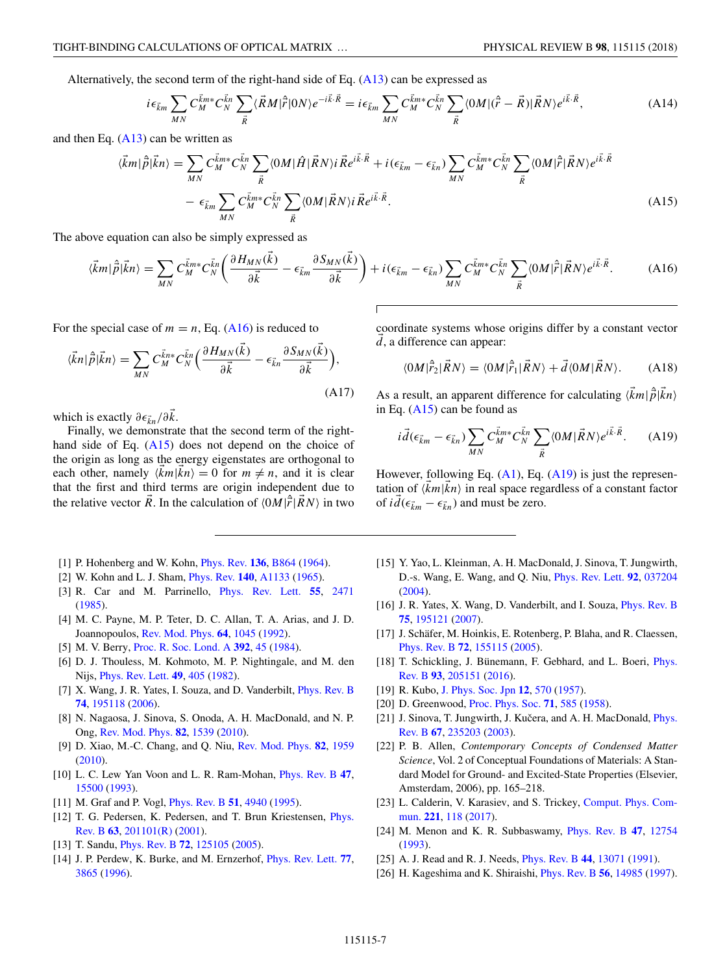<span id="page-6-0"></span>Alternatively, the second term of the right-hand side of Eq. [\(A13\)](#page-5-0) can be expressed as

$$
i\epsilon_{\vec{k}m}\sum_{MN}C_{M}^{\vec{k}m*}C_{N}^{\vec{k}n}\sum_{\vec{R}}\langle\vec{R}M|\hat{r}|0N\rangle e^{-i\vec{k}\cdot\vec{R}} = i\epsilon_{\vec{k}m}\sum_{MN}C_{M}^{\vec{k}m*}C_{N}^{\vec{k}n}\sum_{\vec{R}}\langle 0M|(\hat{r}-\vec{R})|\vec{R}N\rangle e^{i\vec{k}\cdot\vec{R}},\tag{A14}
$$

and then Eq.  $(A13)$  can be written as

$$
\langle \vec{k}m|\hat{\vec{p}}|\vec{k}n\rangle = \sum_{MN} C_M^{\vec{k}m*} C_N^{\vec{k}n} \sum_{\vec{R}} \langle 0M|\hat{H}|\vec{R}N\rangle i \vec{R} e^{i\vec{k}\cdot\vec{R}} + i(\epsilon_{\vec{k}m} - \epsilon_{\vec{k}n}) \sum_{MN} C_M^{\vec{k}m*} C_N^{\vec{k}n} \sum_{\vec{R}} \langle 0M|\hat{\vec{r}}|\vec{R}N\rangle e^{i\vec{k}\cdot\vec{R}} - \epsilon_{\vec{k}m} \sum_{MN} C_M^{\vec{k}m*} C_N^{\vec{k}n} \sum_{\vec{R}} \langle 0M|\vec{R}N\rangle i \vec{R} e^{i\vec{k}\cdot\vec{R}}.
$$
\n(A15)

The above equation can also be simply expressed as

$$
\langle \vec{k}m|\hat{\vec{p}}|\vec{k}n\rangle = \sum_{MN} C_{M}^{\vec{k}m*} C_{N}^{\vec{k}n} \left( \frac{\partial H_{MN}(\vec{k})}{\partial \vec{k}} - \epsilon_{\vec{k}m} \frac{\partial S_{MN}(\vec{k})}{\partial \vec{k}} \right) + i(\epsilon_{\vec{k}m} - \epsilon_{\vec{k}n}) \sum_{MN} C_{M}^{\vec{k}m*} C_{N}^{\vec{k}n} \sum_{\vec{R}} \langle 0M|\hat{\vec{r}}|\vec{R}N\rangle e^{i\vec{k}\cdot\vec{R}}.
$$
 (A16)

For the special case of  $m = n$ , Eq. (A16) is reduced to

$$
\langle \vec{k}n|\hat{\vec{p}}|\vec{k}n\rangle = \sum_{MN} C_M^{\vec{k}n*} C_N^{\vec{k}n} \Big(\frac{\partial H_{MN}(\vec{k})}{\partial \vec{k}} - \epsilon_{\vec{k}n} \frac{\partial S_{MN}(\vec{k})}{\partial \vec{k}}\Big),\tag{A17}
$$

which is exactly  $\partial \epsilon_{\vec{k}n}/\partial k$ .

Finally, we demonstrate that the second term of the righthand side of Eq.  $(A15)$  does not depend on the choice of the origin as long as the energy eigenstates are orthogonal to each other, namely  $\langle km | kn \rangle = 0$  for  $m \neq n$ , and it is clear that the first and third terms are origin independent due to the relative vector  $\vec{R}$ . In the calculation of  $\langle 0M|\hat{\vec{r}}|\vec{R}N\rangle$  in two

- [1] P. Hohenberg and W. Kohn, [Phys. Rev.](https://doi.org/10.1103/PhysRev.136.B864) **[136](https://doi.org/10.1103/PhysRev.136.B864)**, [B864](https://doi.org/10.1103/PhysRev.136.B864) [\(1964\)](https://doi.org/10.1103/PhysRev.136.B864).
- [2] W. Kohn and L. J. Sham, [Phys. Rev.](https://doi.org/10.1103/PhysRev.140.A1133) **[140](https://doi.org/10.1103/PhysRev.140.A1133)**, [A1133](https://doi.org/10.1103/PhysRev.140.A1133) [\(1965\)](https://doi.org/10.1103/PhysRev.140.A1133).
- [3] R. Car and M. Parrinello, [Phys. Rev. Lett.](https://doi.org/10.1103/PhysRevLett.55.2471) **[55](https://doi.org/10.1103/PhysRevLett.55.2471)**, [2471](https://doi.org/10.1103/PhysRevLett.55.2471) [\(1985\)](https://doi.org/10.1103/PhysRevLett.55.2471).
- [4] M. C. Payne, M. P. Teter, D. C. Allan, T. A. Arias, and J. D. Joannopoulos, [Rev. Mod. Phys.](https://doi.org/10.1103/RevModPhys.64.1045) **[64](https://doi.org/10.1103/RevModPhys.64.1045)**, [1045](https://doi.org/10.1103/RevModPhys.64.1045) [\(1992\)](https://doi.org/10.1103/RevModPhys.64.1045).
- [5] M. V. Berry, [Proc. R. Soc. Lond. A](https://doi.org/10.1098/rspa.1984.0023) **[392](https://doi.org/10.1098/rspa.1984.0023)**, [45](https://doi.org/10.1098/rspa.1984.0023) [\(1984\)](https://doi.org/10.1098/rspa.1984.0023).
- [6] D. J. Thouless, M. Kohmoto, M. P. Nightingale, and M. den Nijs, [Phys. Rev. Lett.](https://doi.org/10.1103/PhysRevLett.49.405) **[49](https://doi.org/10.1103/PhysRevLett.49.405)**, [405](https://doi.org/10.1103/PhysRevLett.49.405) [\(1982\)](https://doi.org/10.1103/PhysRevLett.49.405).
- [7] X. Wang, J. R. Yates, I. Souza, and D. Vanderbilt, *[Phys. Rev. B](https://doi.org/10.1103/PhysRevB.74.195118)* **[74](https://doi.org/10.1103/PhysRevB.74.195118)**, [195118](https://doi.org/10.1103/PhysRevB.74.195118) [\(2006\)](https://doi.org/10.1103/PhysRevB.74.195118).
- [8] N. Nagaosa, J. Sinova, S. Onoda, A. H. MacDonald, and N. P. Ong, [Rev. Mod. Phys.](https://doi.org/10.1103/RevModPhys.82.1539) **[82](https://doi.org/10.1103/RevModPhys.82.1539)**, [1539](https://doi.org/10.1103/RevModPhys.82.1539) [\(2010\)](https://doi.org/10.1103/RevModPhys.82.1539).
- [9] D. Xiao, M.-C. Chang, and Q. Niu, [Rev. Mod. Phys.](https://doi.org/10.1103/RevModPhys.82.1959) **[82](https://doi.org/10.1103/RevModPhys.82.1959)**, [1959](https://doi.org/10.1103/RevModPhys.82.1959) [\(2010\)](https://doi.org/10.1103/RevModPhys.82.1959).
- [10] L. C. Lew Yan Voon and L. R. Ram-Mohan, [Phys. Rev. B](https://doi.org/10.1103/PhysRevB.47.15500) **[47](https://doi.org/10.1103/PhysRevB.47.15500)**, [15500](https://doi.org/10.1103/PhysRevB.47.15500) [\(1993\)](https://doi.org/10.1103/PhysRevB.47.15500).
- [11] M. Graf and P. Vogl, [Phys. Rev. B](https://doi.org/10.1103/PhysRevB.51.4940) **[51](https://doi.org/10.1103/PhysRevB.51.4940)**, [4940](https://doi.org/10.1103/PhysRevB.51.4940) [\(1995\)](https://doi.org/10.1103/PhysRevB.51.4940).
- [12] [T. G. Pedersen, K. Pedersen, and T. Brun Kriestensen,](https://doi.org/10.1103/PhysRevB.63.201101) Phys. Rev. B **[63](https://doi.org/10.1103/PhysRevB.63.201101)**, [201101\(R\)](https://doi.org/10.1103/PhysRevB.63.201101) [\(2001\)](https://doi.org/10.1103/PhysRevB.63.201101).
- [13] T. Sandu, [Phys. Rev. B](https://doi.org/10.1103/PhysRevB.72.125105) **[72](https://doi.org/10.1103/PhysRevB.72.125105)**, [125105](https://doi.org/10.1103/PhysRevB.72.125105) [\(2005\)](https://doi.org/10.1103/PhysRevB.72.125105).
- [14] J. P. Perdew, K. Burke, and M. Ernzerhof, [Phys. Rev. Lett.](https://doi.org/10.1103/PhysRevLett.77.3865) **[77](https://doi.org/10.1103/PhysRevLett.77.3865)**, [3865](https://doi.org/10.1103/PhysRevLett.77.3865) [\(1996\)](https://doi.org/10.1103/PhysRevLett.77.3865).

coordinate systems whose origins differ by a constant vector *d*-, a difference can appear:

$$
\langle 0M|\hat{r}_2|\vec{R}N\rangle = \langle 0M|\hat{r}_1|\vec{R}N\rangle + \vec{d}\langle 0M|\vec{R}N\rangle. \tag{A18}
$$

As a result, an apparent difference for calculating  $\langle \vec{k}m|\hat{\vec{p}}|\vec{k}n\rangle$ in Eq.  $(A15)$  can be found as

$$
i\vec{d}(\epsilon_{\vec{k}m} - \epsilon_{\vec{k}n}) \sum_{MN} C_M^{\vec{k}m*} C_N^{\vec{k}n} \sum_{\vec{R}} \langle 0M | \vec{R}N \rangle e^{i\vec{k}\cdot\vec{R}}.
$$
 (A19)

However, following Eq.  $(A1)$ , Eq.  $(A19)$  is just the representation of  $\langle km | kn \rangle$  in real space regardless of a constant factor of  $id(\epsilon_{\vec{k}m} - \epsilon_{\vec{k}n})$  and must be zero.

- [15] Y. Yao, L. Kleinman, A. H. MacDonald, J. Sinova, T. Jungwirth, D.-s. Wang, E. Wang, and Q. Niu, [Phys. Rev. Lett.](https://doi.org/10.1103/PhysRevLett.92.037204) **[92](https://doi.org/10.1103/PhysRevLett.92.037204)**, [037204](https://doi.org/10.1103/PhysRevLett.92.037204) [\(2004\)](https://doi.org/10.1103/PhysRevLett.92.037204).
- [16] J. R. Yates, X. Wang, D. Vanderbilt, and I. Souza, *[Phys. Rev. B](https://doi.org/10.1103/PhysRevB.75.195121)* **[75](https://doi.org/10.1103/PhysRevB.75.195121)**, [195121](https://doi.org/10.1103/PhysRevB.75.195121) [\(2007\)](https://doi.org/10.1103/PhysRevB.75.195121).
- [17] J. Schäfer, M. Hoinkis, E. Rotenberg, P. Blaha, and R. Claessen, [Phys. Rev. B](https://doi.org/10.1103/PhysRevB.72.155115) **[72](https://doi.org/10.1103/PhysRevB.72.155115)**, [155115](https://doi.org/10.1103/PhysRevB.72.155115) [\(2005\)](https://doi.org/10.1103/PhysRevB.72.155115).
- [18] [T. Schickling, J. Bünemann, F. Gebhard, and L. Boeri,](https://doi.org/10.1103/PhysRevB.93.205151) *Phys.* Rev. B **[93](https://doi.org/10.1103/PhysRevB.93.205151)**, [205151](https://doi.org/10.1103/PhysRevB.93.205151) [\(2016\)](https://doi.org/10.1103/PhysRevB.93.205151).
- [19] R. Kubo, [J. Phys. Soc. Jpn](https://doi.org/10.1143/JPSJ.12.570) **[12](https://doi.org/10.1143/JPSJ.12.570)**, [570](https://doi.org/10.1143/JPSJ.12.570) [\(1957\)](https://doi.org/10.1143/JPSJ.12.570).
- [20] D. Greenwood, [Proc. Phys. Soc.](https://doi.org/10.1088/0370-1328/71/4/306) **[71](https://doi.org/10.1088/0370-1328/71/4/306)**, [585](https://doi.org/10.1088/0370-1328/71/4/306) [\(1958\)](https://doi.org/10.1088/0370-1328/71/4/306).
- [21] J. Sinova, T. Jungwirth, J. Kučera, and A. H. MacDonald, *Phys.* Rev. B **[67](https://doi.org/10.1103/PhysRevB.67.235203)**, [235203](https://doi.org/10.1103/PhysRevB.67.235203) [\(2003\)](https://doi.org/10.1103/PhysRevB.67.235203).
- [22] P. B. Allen, *Contemporary Concepts of Condensed Matter Science*, Vol. 2 of Conceptual Foundations of Materials: A Standard Model for Ground- and Excited-State Properties (Elsevier, Amsterdam, 2006), pp. 165–218.
- [23] [L. Calderin, V. Karasiev, and S. Trickey,](https://doi.org/10.1016/j.cpc.2017.08.008) Comput. Phys. Commun. **[221](https://doi.org/10.1016/j.cpc.2017.08.008)**, [118](https://doi.org/10.1016/j.cpc.2017.08.008) [\(2017\)](https://doi.org/10.1016/j.cpc.2017.08.008).
- [24] M. Menon and K. R. Subbaswamy, [Phys. Rev. B](https://doi.org/10.1103/PhysRevB.47.12754) **[47](https://doi.org/10.1103/PhysRevB.47.12754)**, [12754](https://doi.org/10.1103/PhysRevB.47.12754) [\(1993\)](https://doi.org/10.1103/PhysRevB.47.12754).
- [25] A. J. Read and R. J. Needs, [Phys. Rev. B](https://doi.org/10.1103/PhysRevB.44.13071) **[44](https://doi.org/10.1103/PhysRevB.44.13071)**, [13071](https://doi.org/10.1103/PhysRevB.44.13071) [\(1991\)](https://doi.org/10.1103/PhysRevB.44.13071).
- [26] H. Kageshima and K. Shiraishi, [Phys. Rev. B](https://doi.org/10.1103/PhysRevB.56.14985) **[56](https://doi.org/10.1103/PhysRevB.56.14985)**, [14985](https://doi.org/10.1103/PhysRevB.56.14985) [\(1997\)](https://doi.org/10.1103/PhysRevB.56.14985).